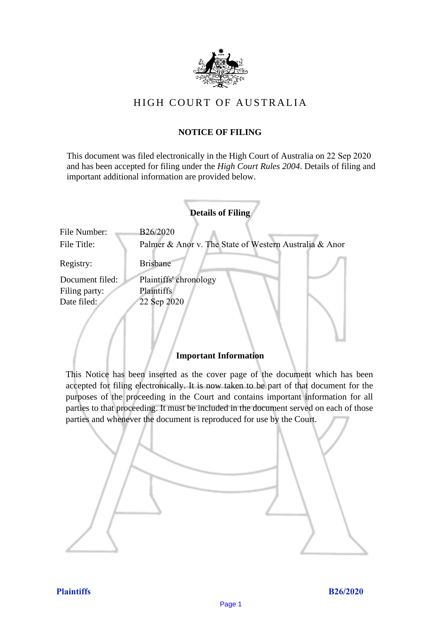

# HIGH COURT OF AU STRALIA HIGH COURT OF AUSTRALIA

## **NOTICE OF FILING** NOTICE OF FILING

This document was filed electronically in the High Court of Australia on 22 Sep 2020 This document was filed electronically in the High Court of Australia 0 and has been accepted for filing under the *High Court Rules 2004*. Details of filing and important additional information are provided below. important additional information are provided below.

|                             | <b>Details of Filing</b>                                           |  |
|-----------------------------|--------------------------------------------------------------------|--|
| File Number:<br>File Title: | B26/2020<br>Palmer & Anor v. The State of Western Australia & Anor |  |
| Registry:                   | <b>Brisbane</b>                                                    |  |
| Document filed:             | Plaintiffs' chronology                                             |  |
| Filing party:               | Plaintiffs                                                         |  |
| Date filed:                 | 22 Sep 2020                                                        |  |
|                             |                                                                    |  |

#### **Important Information** Important Information

This Notice has been inserted as the cover page of the document which has been accepted for filing electronically. It is now taken to be part of that document for the purposes of the proceeding in the Court and contains important information for all parties to that proceeding. It must be included in the document served on each of those parties and whenever the document is reproduced for use by the Court. parties and whenever the document is reproduced for use by the Court

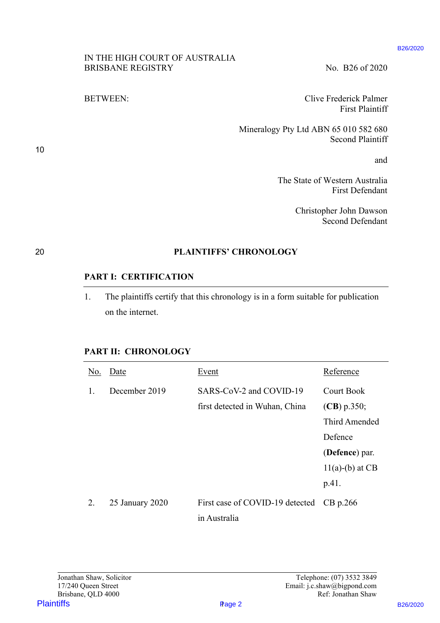#### IN THE HIGH COURT OF AUSTRALIA IN THE HIGH COURT OF AUSTRALIA BRISBANE REGISTRY No. B26 of 2020

## 20 **PLAINTIFFS' CHRONOLOGY** 20 PLAINTIFFS' CHRONOLOGY

### **PART I: CERTIFICATION** PART I: CERTIFICATION

## **PART II: CHRONOLOGY** PART Il: CHRONOLOGY

|                                                                       |                                                            |                                                                                   |                                                                                | B <sub>26</sub> /2020 |
|-----------------------------------------------------------------------|------------------------------------------------------------|-----------------------------------------------------------------------------------|--------------------------------------------------------------------------------|-----------------------|
|                                                                       | IN THE HIGH COURT OF AUSTRALIA<br><b>BRISBANE REGISTRY</b> |                                                                                   | No. B26 of 2020                                                                |                       |
|                                                                       | <b>BETWEEN:</b>                                            |                                                                                   | <b>Clive Frederick Palmer</b><br><b>First Plaintiff</b>                        |                       |
|                                                                       |                                                            | Mineralogy Pty Ltd ABN 65 010 582 680                                             | <b>Second Plaintiff</b>                                                        |                       |
|                                                                       |                                                            |                                                                                   | and                                                                            |                       |
|                                                                       |                                                            |                                                                                   | The State of Western Australia<br><b>First Defendant</b>                       |                       |
|                                                                       |                                                            |                                                                                   | Christopher John Dawson<br><b>Second Defendant</b>                             |                       |
|                                                                       |                                                            | <b>PLAINTIFFS' CHRONOLOGY</b>                                                     |                                                                                |                       |
|                                                                       | <b>PART I: CERTIFICATION</b>                               |                                                                                   |                                                                                |                       |
| 1.                                                                    | on the internet.                                           | The plaintiffs certify that this chronology is in a form suitable for publication |                                                                                |                       |
|                                                                       | <b>PART II: CHRONOLOGY</b>                                 |                                                                                   |                                                                                |                       |
|                                                                       | No. Date                                                   | Event                                                                             | Reference                                                                      |                       |
| 1.                                                                    | December 2019                                              | SARS-CoV-2 and COVID-19                                                           | <b>Court Book</b>                                                              |                       |
|                                                                       |                                                            | first detected in Wuhan, China                                                    | $(CB)$ p.350;                                                                  |                       |
|                                                                       |                                                            |                                                                                   | Third Amended                                                                  |                       |
|                                                                       |                                                            |                                                                                   |                                                                                |                       |
|                                                                       |                                                            |                                                                                   | Defence                                                                        |                       |
|                                                                       |                                                            |                                                                                   | (Defence) par.                                                                 |                       |
|                                                                       |                                                            |                                                                                   | $11(a)-(b)$ at CB                                                              |                       |
|                                                                       |                                                            |                                                                                   | p.41.                                                                          |                       |
| 2.                                                                    | 25 January 2020                                            | First case of COVID-19 detected                                                   | $CB$ p.266                                                                     |                       |
|                                                                       |                                                            | in Australia                                                                      |                                                                                |                       |
|                                                                       |                                                            |                                                                                   |                                                                                |                       |
| Jonathan Shaw, Solicitor<br>17/240 Queen Street<br>Brisbane, QLD 4000 |                                                            |                                                                                   | Telephone: (07) 3532 3849<br>Email: j.c.shaw@bigpond.com<br>Ref: Jonathan Shaw |                       |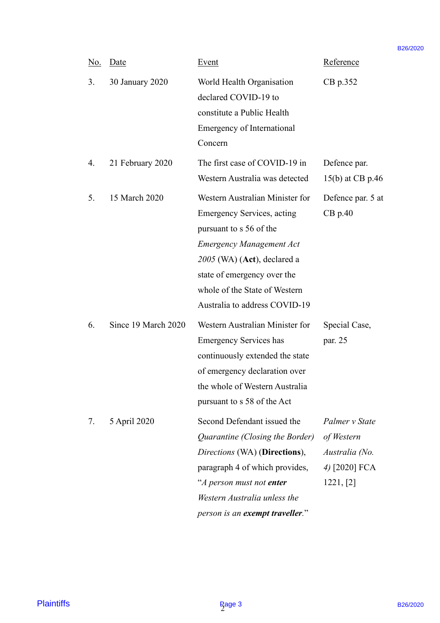|                   |            |                     |                                                                                                                                                                                                                                                                      |                                                                              | B <sub>26</sub> /2020 |
|-------------------|------------|---------------------|----------------------------------------------------------------------------------------------------------------------------------------------------------------------------------------------------------------------------------------------------------------------|------------------------------------------------------------------------------|-----------------------|
|                   | <u>No.</u> | Date                | Event                                                                                                                                                                                                                                                                | Reference                                                                    |                       |
|                   | 3.         | 30 January 2020     | World Health Organisation<br>declared COVID-19 to<br>constitute a Public Health<br>Emergency of International<br>Concern                                                                                                                                             | CB p.352                                                                     |                       |
|                   | 4.         | 21 February 2020    | The first case of COVID-19 in<br>Western Australia was detected                                                                                                                                                                                                      | Defence par.<br>15(b) at CB p.46                                             |                       |
|                   | 5.         | 15 March 2020       | Western Australian Minister for<br><b>Emergency Services, acting</b><br>pursuant to s 56 of the<br><b>Emergency Management Act</b><br>$2005$ (WA) (Act), declared a<br>state of emergency over the<br>whole of the State of Western<br>Australia to address COVID-19 | Defence par. 5 at<br>$CB$ p.40                                               |                       |
|                   | 6.         | Since 19 March 2020 | Western Australian Minister for<br><b>Emergency Services has</b><br>continuously extended the state<br>of emergency declaration over<br>the whole of Western Australia<br>pursuant to s 58 of the Act                                                                | Special Case,<br>par. 25                                                     |                       |
|                   | 7.         | 5 April 2020        | Second Defendant issued the<br>Quarantine (Closing the Border)<br>Directions (WA) (Directions),<br>paragraph 4 of which provides,<br>"A person must not enter<br>Western Australia unless the<br>person is an exempt traveller."                                     | Palmer v State<br>of Western<br>Australia (No.<br>4) [2020] FCA<br>1221, [2] |                       |
| <b>Plaintiffs</b> |            |                     | <b>Page 3</b>                                                                                                                                                                                                                                                        |                                                                              | B26/2020              |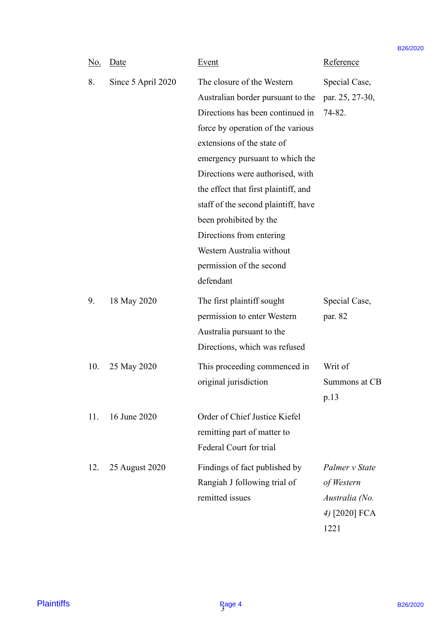|                   |            |                    |                                                                                                                                                                                                                                                                                                                                                                                                                                                          |                                                                         | B <sub>26</sub> /2020 |
|-------------------|------------|--------------------|----------------------------------------------------------------------------------------------------------------------------------------------------------------------------------------------------------------------------------------------------------------------------------------------------------------------------------------------------------------------------------------------------------------------------------------------------------|-------------------------------------------------------------------------|-----------------------|
|                   | <u>No.</u> | Date               | Event                                                                                                                                                                                                                                                                                                                                                                                                                                                    | Reference                                                               |                       |
|                   | 8.         | Since 5 April 2020 | The closure of the Western<br>Australian border pursuant to the<br>Directions has been continued in<br>force by operation of the various<br>extensions of the state of<br>emergency pursuant to which the<br>Directions were authorised, with<br>the effect that first plaintiff, and<br>staff of the second plaintiff, have<br>been prohibited by the<br>Directions from entering<br>Western Australia without<br>permission of the second<br>defendant | Special Case,<br>par. 25, 27-30,<br>74-82.                              |                       |
|                   | 9.         | 18 May 2020        | The first plaintiff sought<br>permission to enter Western<br>Australia pursuant to the<br>Directions, which was refused                                                                                                                                                                                                                                                                                                                                  | Special Case,<br>par. 82                                                |                       |
|                   | 10.        | 25 May 2020        | This proceeding commenced in<br>original jurisdiction                                                                                                                                                                                                                                                                                                                                                                                                    | Writ of<br>Summons at CB<br>p.13                                        |                       |
|                   | 11.        | 16 June 2020       | Order of Chief Justice Kiefel<br>remitting part of matter to<br>Federal Court for trial                                                                                                                                                                                                                                                                                                                                                                  |                                                                         |                       |
|                   | 12.        | 25 August 2020     | Findings of fact published by<br>Rangiah J following trial of<br>remitted issues                                                                                                                                                                                                                                                                                                                                                                         | Palmer v State<br>of Western<br>Australia (No.<br>4) [2020] FCA<br>1221 |                       |
| <b>Plaintiffs</b> |            |                    | <b>Page 4</b>                                                                                                                                                                                                                                                                                                                                                                                                                                            |                                                                         | B26/2020              |